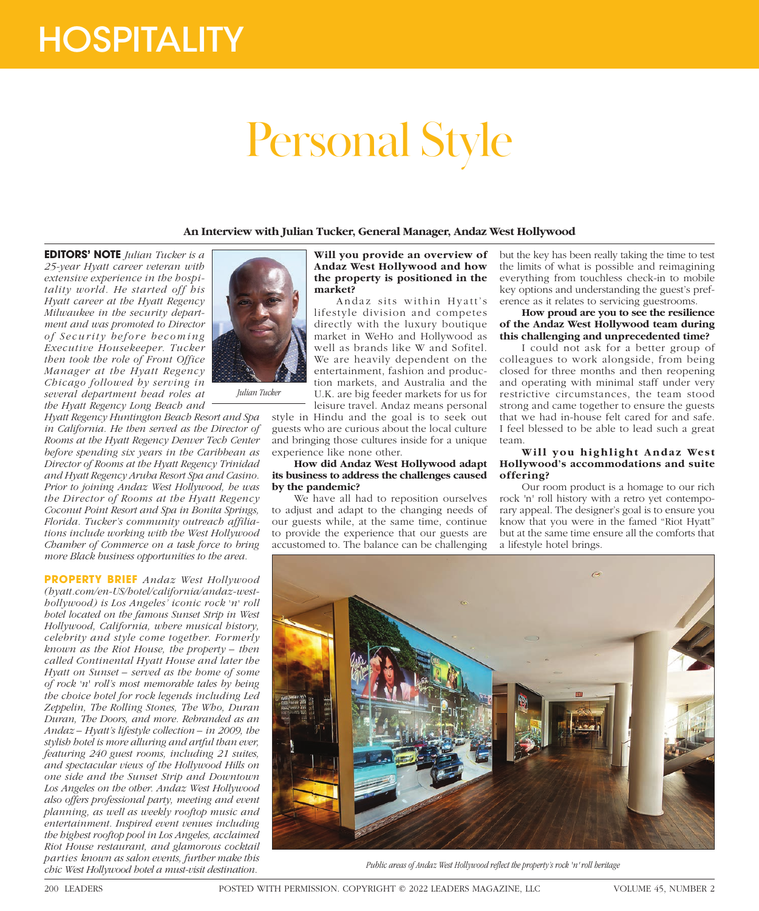# **HOSPITALITY**

# Personal Style

**An Interview with Julian Tucker, General Manager, Andaz West Hollywood**

**EDITORS' NOTE** *Julian Tucker is a 25-year Hyatt career veteran with extensive experience in the hospitality world. He started off his Hyatt career at the Hyatt Regency Milwaukee in the security department and was promoted to Director of Security before becoming Executive Housekeeper. Tucker then took the role of Front Office Manager at the Hyatt Regency Chicago followed by serving in several department head roles at the Hyatt Regency Long Beach and* 

*Hyatt Regency Huntington Beach Resort and Spa in California. He then served as the Director of Rooms at the Hyatt Regency Denver Tech Center before spending six years in the Caribbean as Director of Rooms at the Hyatt Regency Trinidad and Hyatt Regency Aruba Resort Spa and Casino. Prior to joining Andaz West Hollywood, he was the Director of Rooms at the Hyatt Regency Coconut Point Resort and Spa in Bonita Springs, Florida. Tucker's community outreach affiliations include working with the West Hollywood Chamber of Commerce on a task force to bring more Black business opportunities to the area.*

**PROPERTY BRIEF** *Andaz West Hollywood (hyatt.com/en-US/hotel/california/andaz-westhollywood) is Los Angeles' iconic rock 'n' roll hotel located on the famous Sunset Strip in West Hollywood, California, where musical history, celebrity and style come together. Formerly known as the Riot House, the property – then called Continental Hyatt House and later the Hyatt on Sunset – served as the home of some of rock 'n' roll's most memorable tales by being the choice hotel for rock legends including Led Zeppelin, The Rolling Stones, The Who, Duran Duran, The Doors, and more. Rebranded as an Andaz – Hyatt's lifestyle collection – in 2009, the stylish hotel is more alluring and artful than ever, featuring 240 guest rooms, including 21 suites, and spectacular views of the Hollywood Hills on one side and the Sunset Strip and Downtown Los Angeles on the other. Andaz West Hollywood also offers professional party, meeting and event planning, as well as weekly rooftop music and entertainment. Inspired event venues including the highest rooftop pool in Los Angeles, acclaimed Riot House restaurant, and glamorous cocktail parties known as salon events, further make this chic West Hollywood hotel a must-visit destination.*



*Julian Tucker*

#### **Will you provide an overview of Andaz West Hollywood and how the property is positioned in the market?**

Andaz sits within Hyatt's lifestyle division and competes directly with the luxury boutique market in WeHo and Hollywood as well as brands like W and Sofitel. We are heavily dependent on the entertainment, fashion and production markets, and Australia and the U.K. are big feeder markets for us for

leisure travel. Andaz means personal style in Hindu and the goal is to seek out guests who are curious about the local culture and bringing those cultures inside for a unique experience like none other.

#### **How did Andaz West Hollywood adapt its business to address the challenges caused by the pandemic?**

We have all had to reposition ourselves to adjust and adapt to the changing needs of our guests while, at the same time, continue to provide the experience that our guests are accustomed to. The balance can be challenging

but the key has been really taking the time to test the limits of what is possible and reimagining everything from touchless check-in to mobile key options and understanding the guest's preference as it relates to servicing guestrooms.

**How proud are you to see the resilience of the Andaz West Hollywood team during this challenging and unprecedented time?**

I could not ask for a better group of colleagues to work alongside, from being closed for three months and then reopening and operating with minimal staff under very restrictive circumstances, the team stood strong and came together to ensure the guests that we had in-house felt cared for and safe. I feel blessed to be able to lead such a great team.

## **Will you highlight Andaz West Hollywood's accommodations and suite offering?**

Our room product is a homage to our rich rock *'*n*'* roll history with a retro yet contemporary appeal. The designer's goal is to ensure you know that you were in the famed "Riot Hyatt" but at the same time ensure all the comforts that a lifestyle hotel brings.



*Public areas of Andaz West Hollywood reflect the property's rock 'n' roll heritage*